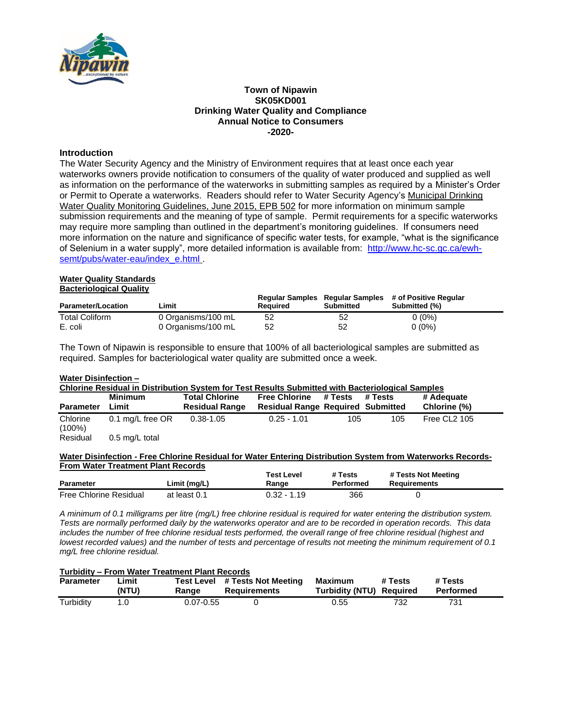

### **Town of Nipawin SK05KD001 Drinking Water Quality and Compliance Annual Notice to Consumers -2020-**

## **Introduction**

The Water Security Agency and the Ministry of Environment requires that at least once each year waterworks owners provide notification to consumers of the quality of water produced and supplied as well as information on the performance of the waterworks in submitting samples as required by a Minister's Order or Permit to Operate a waterworks. Readers should refer to Water Security Agency's Municipal Drinking Water Quality Monitoring Guidelines, June 2015, EPB 502 for more information on minimum sample submission requirements and the meaning of type of sample. Permit requirements for a specific waterworks may require more sampling than outlined in the department's monitoring guidelines. If consumers need more information on the nature and significance of specific water tests, for example, "what is the significance of Selenium in a water supply", more detailed information is available from: [http://www.hc-sc.gc.ca/ewh](http://www.hc-sc.gc.ca/ewh-semt/pubs/water-eau/index_e.html)[semt/pubs/water-eau/index\\_e.html](http://www.hc-sc.gc.ca/ewh-semt/pubs/water-eau/index_e.html) .

#### **Water Quality Standards Bacteriological Quality**

| <b>Parameter/Location</b> | ∟imit              | Required | Submitted | Regular Samples Regular Samples # of Positive Regular<br>Submitted (%) |
|---------------------------|--------------------|----------|-----------|------------------------------------------------------------------------|
| <b>Total Coliform</b>     | 0 Organisms/100 mL | 52       | 52        | $0(0\%)$                                                               |
| E. coli                   | 0 Organisms/100 mL | 52       | 52        | $0(0\%)$                                                               |

The Town of Nipawin is responsible to ensure that 100% of all bacteriological samples are submitted as required. Samples for bacteriological water quality are submitted once a week.

### **Water Disinfection –**

| Chlorine Residual in Distribution System for Test Results Submitted with Bacteriological Samples |                  |                       |                                          |         |         |              |  |
|--------------------------------------------------------------------------------------------------|------------------|-----------------------|------------------------------------------|---------|---------|--------------|--|
|                                                                                                  | Minimum          | <b>Total Chlorine</b> | <b>Free Chlorine</b>                     | # Tests | # Tests | # Adequate   |  |
| <b>Parameter</b>                                                                                 | Limit            | <b>Residual Range</b> | <b>Residual Range Required Submitted</b> |         |         | Chlorine (%) |  |
| Chlorine<br>$(100\%)$                                                                            | 0.1 mg/L free OR | 0.38-1.05             | $0.25 - 1.01$                            | 105     | 105     | Free CL2 105 |  |
| .                                                                                                |                  |                       |                                          |         |         |              |  |

Residual 0.5 mg/L total

### **Water Disinfection - Free Chlorine Residual for Water Entering Distribution System from Waterworks Records-From Water Treatment Plant Records**

| <b>Parameter</b>       | Limit (mg/L) | Test Level<br>Range | # Tests<br>Performed | # Tests Not Meeting<br>Requirements |
|------------------------|--------------|---------------------|----------------------|-------------------------------------|
| Free Chlorine Residual | at least 0.1 | $0.32 - 1.19$       | 366                  |                                     |

*A minimum of 0.1 milligrams per litre (mg/L) free chlorine residual is required for water entering the distribution system. Tests are normally performed daily by the waterworks operator and are to be recorded in operation records. This data includes the number of free chlorine residual tests performed, the overall range of free chlorine residual (highest and lowest recorded values) and the number of tests and percentage of results not meeting the minimum requirement of 0.1 mg/L free chlorine residual.*

#### **Turbidity – From Water Treatment Plant Records**

| <b>Parameter</b> | Limit.<br>(NTU) | Test ı<br>Level<br>Ranɑe | # Tests Not Meeting<br>Reauirements | <b>Maximum</b><br><b>Furbidity (NTU)</b> | # Tests<br>Reauired | <b>* Tests</b><br>Performed |
|------------------|-----------------|--------------------------|-------------------------------------|------------------------------------------|---------------------|-----------------------------|
| Turbidity        |                 | $0.07 - 0.55$            |                                     | - 辰辰<br>ບ.ບປ                             | 70c<br>∠ت '         | 731                         |